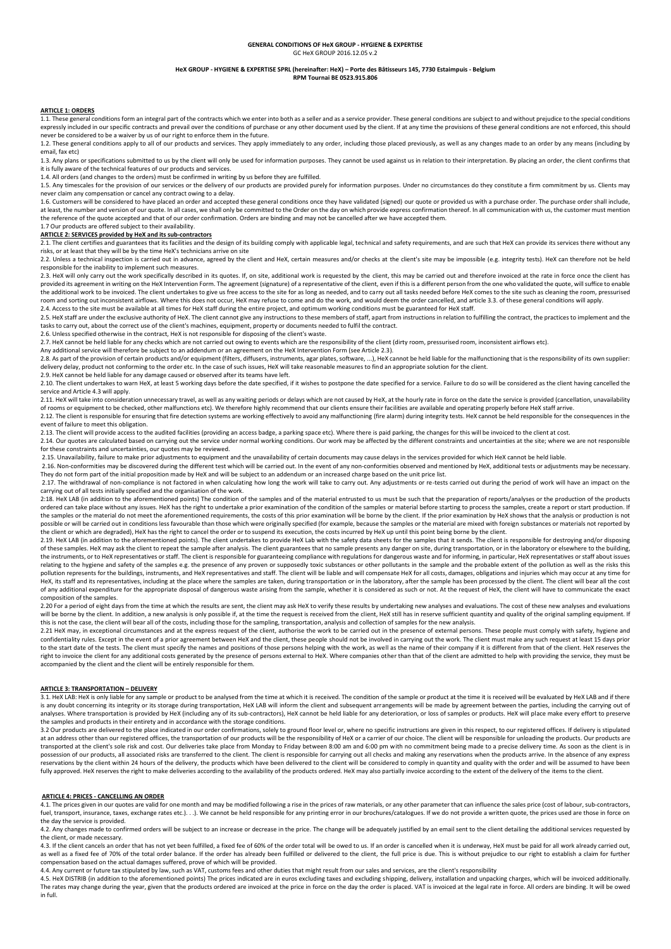### **GENERAL CONDITIONS OF HeX GROUP - HYGIENE & EXPERTISE** GC HeX GROUP 2016.12.05 v.2

#### **HeX GROUP - HYGIENE & EXPERTISE SPRL (hereinafter: HeX) – Porte des Bâtisseurs 145, 7730 Estaimpuis - Belgium RPM Tournai BE 0523.915.806**

## **ARTICLE 1: ORDERS**

1.1. These general conditions form an integral part of the contracts which we enter into both as a seller and as a service provider. These general conditions are subject to and without prejudice to the special conditions<br>e never be considered to be a waiver by us of our right to enforce them in the future.

1.2. These general conditions apply to all of our products and services. They apply immediately to any order, including those placed previously, as well as any changes made to an order by any means (including by email, fax etc)

1.3. Any plans or specifications submitted to us by the client will only be used for information purposes. They cannot be used against us in relation to their interpretation. By placing an order, the client confirms that it is fully aware of the technical features of our products and services.

1.4. All orders (and changes to the orders) must be confirmed in writing by us before they are fulfilled.

1.5. Any timescales for the provision of our services or the delivery of our products are provided purely for information purposes. Under no circumstances do they constitute a firm commitment by us. Clients may never claim any compensation or cancel any contract owing to a delay.

1.6. Customers will be considered to have placed an order and accepted these general conditions once they have validated (signed) our quote or provided us with a purchase order. The purchase order shall include, at least, the number and version of our quote. In all cases, we shall only be committed to the Order on the day on which provide express confirmation thereof. In all communication with us, the customer must mention the reference of the quote accepted and that of our order confirmation. Orders are binding and may not be cancelled after we have accepted them.

# 1.7 Our products are offered subject to their availability.

# **ARTICLE 2: SERVICES provided by HeX and its sub-contractors**

2.1. The client certifies and guarantees that its facilities and the design of its building comply with applicable legal, technical and safety requirements, and are such that HeX can provide its services there without any risks, or at least that they will be by the time HeX's technicians arrive on site

2.2. Unless a technical inspection is carried out in advance, agreed by the client and HeX, certain measures and/or checks at the client's site may be impossible (e.g. integrity tests). HeX can therefore not be held responsible for the inability to implement such measures.

exponsioned in the work specifically described in its quotes. If, on site, additional work is requested by the client, this may be carried out and therefore invoiced at the rate in force once the client has  $2.3$ . HeX will provided its agreement in writing on the HeX Intervention Form. The agreement (signature) of a representative of the client, even if this is a different person from the one who validated the quote, will suffice to enable the additional work to be invoiced. The client undertakes to give us free access to the site for as long as needed, and to carry out all tasks needed before HeX comes to the site such as cleaning the room, pressurised room and sorting out inconsistent airflows. Where this does not occur, HeX may refuse to come and do the work, and would deem the order cancelled, and article 3.3. of these general conditions will apply.

2.4. Access to the site must be available at all times for HeX staff during the entire project, and optimum working conditions must be guaranteed for HeX staff.<br>2.5. HeX staff are under the exclusive authority of HeX. The tasks to carry out, about the correct use of the client's machines, equipment, property or documents needed to fulfil the contract.

2.6. Unless specified otherwise in the contract, HeX is not responsible for disposing of the client's waste.<br>2.7. HeX cannot be held liable for any checks which are not carried out owing to events which are the responsibil

Any additional service will therefore be subject to an addendum or an agreement on the HeX Intervention Form (see Article 2.3). 2.8. As part of the provision of certain products and/or equipment (filters, diffusers, instruments, agar plates, software....). HeX cannot be held liable for the malfunctioning that is the responsibility of its own suppli

delivery delay, product not conforming to the order etc. In the case of such issues, HeX will take reasonable measures to find an appropriate solution for the client. 2.9. HeX cannot be held liable for any damage caused or observed after its teams have left.

2.10. The client undertakes to warn HeX, at least 5 working days before the date specified, if it wishes to postpone the date specified for a service. Failure to do so will be considered as the client having cancelled the service and Article 4.3 will apply.

2.11. HeX will take into consideration unnecessary travel, as well as any waiting periods or delays which are not caused by HeX, at the hourly rate in force on the date the service is provided (cancellation, unavailability of rooms or equipment to be checked, other malfunctions etc). We therefore highly recommend that our clients ensure their facilities are available and operating properly before HeX staff arrive.

2.12. The client is responsible for ensuring that fire detection systems are working effectively to avoid any malfunctioning (fire alarm) during integrity tests. HeX cannot be held responsible for the consequences in the event of failure to meet this obligation.

2.13. The client will provide access to the audited facilities (providing an access badge, a parking space etc). Where there is paid parking, the changes for this will be invoiced to the client at cost. 2.14. Our quotes are calculated based on carrying out the service under normal working conditions. Our work may be affected by the different constraints and uncertainties at the site; where we are not responsible for these constraints and uncertainties, our quotes may be reviewed.

2.15. Unavailability, failure to make prior adjustments to equipment and the unavailability of certain documents may cause delays in the services provided for which HeX cannot be held liable.<br>2.16. Non-conformities may be

They do not form part of the initial proposition made by HeX and will be subject to an addendum or an increased charge based on the unit price list.

2.17. The withdrawal of non-compliance is not factored in when calculating how long the work will take to carry out. Any adjustments or re-tests carried out during the period of work will have an impact on the carrying out

2:18. HeX LAB (in addition to the aforementioned points) The condition of the samples and of the material entrusted to us must be such that the preparation of reports/analyses or the production of the products ordered can take place without any issues. HeX has the right to undertake a prior examination of the condition of the samples or material before starting to process the samples, create a report or start production. If the samples or the material do not meet the aforementioned requirements, the costs of this prior examination will be borne by the client. If the prior examination by HeX shows that the analysis or production is not possible or will be carried out in conditions less favourable than those which were originally specified (for example, because the samples or the material are mixed with foreign substances or materials not reported by the client or which are degraded), HeX has the right to cancel the order or to suspend its execution, the costs incurred by HeX up until this point being borne by the client.

2.19. HeX LAB (in addition to the aforementioned points). The client undertakes to provide HeX Lab with the safety data sheets for the samples that it sends. The client is responsible for destroying and/or disposing of these samples. HeX may ask the client to repeat the sample after analysis. The client guarantees that no sample presents any danger on site, during transportation, or in the laboratory or elsewhere to the building,<br>the relating to the hygiene and safety of the samples e.g. the presence of any proven or supposedly toxic substances or other pollutants in the sample and the probable extent of the pollution as well as the risks this pollution represents for the buildings, instruments, and HeX representatives and staff. The client will be liable and will compensate HeX for all costs, damages, obligations and injuries which may occur at any time for HeX, its staff and its representatives, including at the place where the samples are taken, during transportation or in the laboratory, after the sample has been processed by the client. The client will bear all the cost of any additional expenditure for the appropriate disposal of dangerous waste arising from the sample, whether it is considered as such or not. At the request of HeX, the client will have to communicate the exact composition of the samples.

2.20 For a period of eight days from the time at which the results are sent, the client may ask HeX to verify these results by undertaking new analyses and evaluations. The cost of these new analyses and evaluations will be borne by the client. In addition, a new analysis is only possible if, at the time the request is received from the client. HeX still has in reserve sufficient quantity and quality of the original sampling equipment this is not the case, the client will bear all of the costs, including those for the sampling, transportation, analysis and collection of samples for the new analysis.

2.21 HeX may, in exceptional circumstances and at the express request of the client, authorise the work to be carried out in the presence of external persons. These people must comply with safety, hygiene and confidentiality rules. Except in the event of a prior agreement between HeX and the client, these people should not be involved in carrying out the work. The client must make any such request at least 15 days prior to the start date of the tests. The client must specify the names and positions of those persons helping with the work, as well as the name of their company if it is different from that of the client. HeX reserves the right to invoice the client for any additional costs generated by the presence of persons external to HeX. Where companies other than that of the client are admitted to help with providing the service, they must be accompanied by the client and the client will be entirely responsible for them.

#### **ARTICLE 3: TRANSPORTATION – DELIVERY**

3.1. HeX LAB: HeX is only liable for any sample or product to be analysed from the time at which it is received. The condition of the sample or product at the time it is received will be evaluated by HeX LAB and if there<br>i analyses. Where transportation is provided by HeX (including any of its sub-contractors), HeX cannot be held liable for any deterioration, or loss of samples or products. HeX will place make every effort to preserve the samples and products in their entirety and in accordance with the storage conditions.

3.2 Our products are delivered to the place indicated in our order confirmations, solely to ground floor level or, where no specific instructions are given in this respect, to our registered offices. If delivery is stipula transported at the client's sole risk and cost. Our deliveries take place from Monday to Friday between 8:00 am and 6:00 pm with no commitment being made to a precise delivery time. As soon as the client is in possession of our products, all associated risks are transferred to the client. The client is responsible for carrying out all checks and making any reservations when the products arrive. In the absence of any express reservations by the client within 24 hours of the delivery, the products which have been delivered to the client will be considered to comply in quantity and quality with the order and will be assumed to have been fully approved. HeX reserves the right to make deliveries according to the availability of the products ordered. HeX may also partially invoice according to the extent of the delivery of the items to the client.

#### **ARTICLE 4: PRICES - CANCELLING AN ORDER**

4.1. The prices given in our quotes are valid for one month and may be modified following a rise in the prices of raw materials, or any other parameter that can influence the sales price (cost of labour, sub-contractors,<br>f the day the service is provided.

4.2. Any changes made to confirmed orders will be subject to an increase or decrease in the price. The change will be adequately justified by an email sent to the client detailing the additional services requested by the client, or made necessary.

4.3. If the client cancels an order that has not vet been fulfilled, a fixed fee of 60% of the order total will be owed to us. If an order is cancelled when it is underway, HeX must be paid for all work already carried out as well as a fixed fee of 70% of the total order balance. If the order has already been fulfilled or delivered to the client, the full price is due. This is without prejudice to our right to establish a claim for further compensation based on the actual damages suffered, prove of which will be provided.

4.4. Any current or future tax stipulated by law, such as VAT, customs fees and other duties that might result from our sales and services, are the client's responsibility

4.5. HeX DISTRIB (in addition to the aforementioned points) The prices indicated are in euros excluding taxes and excluding shipping, delivery, installation and unpacking charges, which will be invoiced additionally.<br>The r in full.